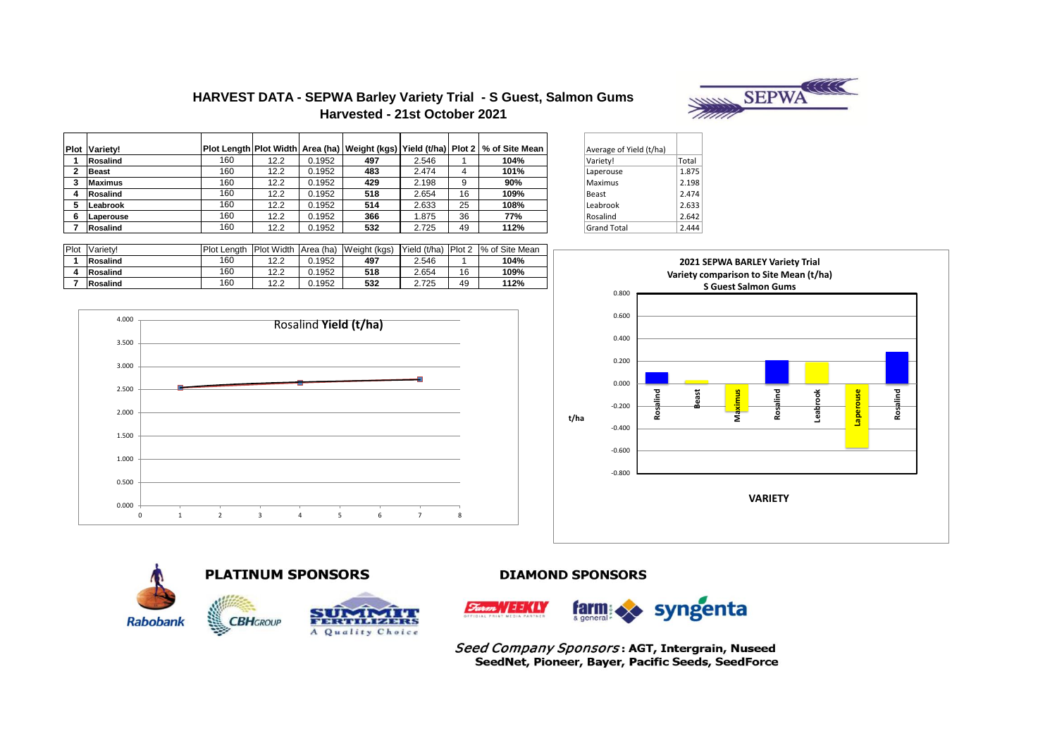

# **HARVEST DATA - SEPWA Barley Variety Trial - S Guest, Salmon Gums Harvested - 21st October 2021**

|   | <b>Plot Variety!</b> |     |      |        |     |       |    | Plot Length Plot Width  Area (ha) Weight (kgs) Yield (t/ha) Plot 2   % of Site Mean | Average of Yield (t/ha) |       |
|---|----------------------|-----|------|--------|-----|-------|----|-------------------------------------------------------------------------------------|-------------------------|-------|
|   | Rosalind             | 160 | 12.2 | 0.1952 | 497 | 2.546 |    | 104%                                                                                | Variety!                | Total |
|   | <b>Beast</b>         | 160 | 12.2 | 0.1952 | 483 | 2.474 |    | 101%                                                                                | Laperouse               | 1.875 |
|   | <b>Maximus</b>       | 160 | 12.2 | 0.1952 | 429 | 2.198 |    | 90%                                                                                 | Maximus                 | 2.198 |
| 4 | Rosalind             | 160 | 12.2 | 0.1952 | 518 | 2.654 | 16 | 109%                                                                                | Beast                   | 2.474 |
|   | Leabrook             | 160 | 12.2 | 0.1952 | 514 | 2.633 | 25 | 108%                                                                                | Leabrook                | 2.633 |
| 6 | <b>Laperouse</b>     | 160 | 12.2 | 0.1952 | 366 | .875  | 36 | 77%                                                                                 | Rosalind                | 2.642 |
|   | Rosalind             | 160 | 12.2 | 0.1952 | 532 | 2.725 | 49 | 112%                                                                                | <b>Grand Total</b>      | 2.444 |
|   |                      |     |      |        |     |       |    |                                                                                     |                         |       |

|      | Leabrook         | 160                | 12.2 | 0.1952 | 514                               | 2.633               | 25 | 108%           | Leabrook    | 2.633   |
|------|------------------|--------------------|------|--------|-----------------------------------|---------------------|----|----------------|-------------|---------|
|      | <b>Laperouse</b> | 160                | 12.2 | 0.1952 | 366                               | .875                | 36 | 77%            | Rosalind    | 2.642   |
|      | <b>Rosalind</b>  | 160                | 12.2 | 0.1952 | 532                               | 2.725               | 49 | 112%           | Grand Total | 2.444   |
|      |                  |                    |      |        |                                   |                     |    |                |             |         |
| Plot | Variety!         | <b>Plot Lenath</b> |      |        | Plot Width Area (ha) Weight (kgs) | Yield (t/ha) Plot 2 |    | % of Site Mean |             |         |
|      | <b>Rosalind</b>  | 160                | 12.2 | 0.1952 | 497                               | 2.546               |    | 104%           |             | 2021    |
|      | Rosalind         | 160                | 12.2 | 0.1952 | 518                               | 2.654               | 16 | 109%           |             | Varietv |

| Average of Yield (t/ha) |       |
|-------------------------|-------|
| Variety!                | Total |
| Laperouse               | 1.875 |
| Maximus                 | 2.198 |
| Beast                   | 2.474 |
| Leabrook                | 2.633 |
| Rosalind                | 2.642 |
| <b>Grand Total</b>      | 2.444 |

| 7 | Rosalind         | 160            | 12.2 | 0.1952                | 532 | 2.725          | 49 | 112% |
|---|------------------|----------------|------|-----------------------|-----|----------------|----|------|
|   |                  |                |      |                       |     |                |    |      |
|   | 4.000            |                |      | Rosalind Yield (t/ha) |     |                |    |      |
|   | 3.500            |                |      |                       |     |                |    |      |
|   | 3.000            |                |      |                       |     |                |    |      |
|   | 2.500            |                |      |                       |     |                |    |      |
|   | 2.000            |                |      |                       |     |                |    |      |
|   | 1.500            |                |      |                       |     |                |    |      |
|   | 1.000            |                |      |                       |     |                |    |      |
|   | 0.500            |                |      |                       |     |                |    |      |
|   | 0.000            |                |      |                       |     |                |    |      |
|   | 0<br>$\mathbf 1$ | $\overline{2}$ | 3    | 5<br>4                | 6   | $\overline{7}$ | 8  |      |





### **DIAMOND SPONSORS**



Seed Company Sponsors: AGT, Intergrain, Nuseed SeedNet, Pioneer, Bayer, Pacific Seeds, SeedForce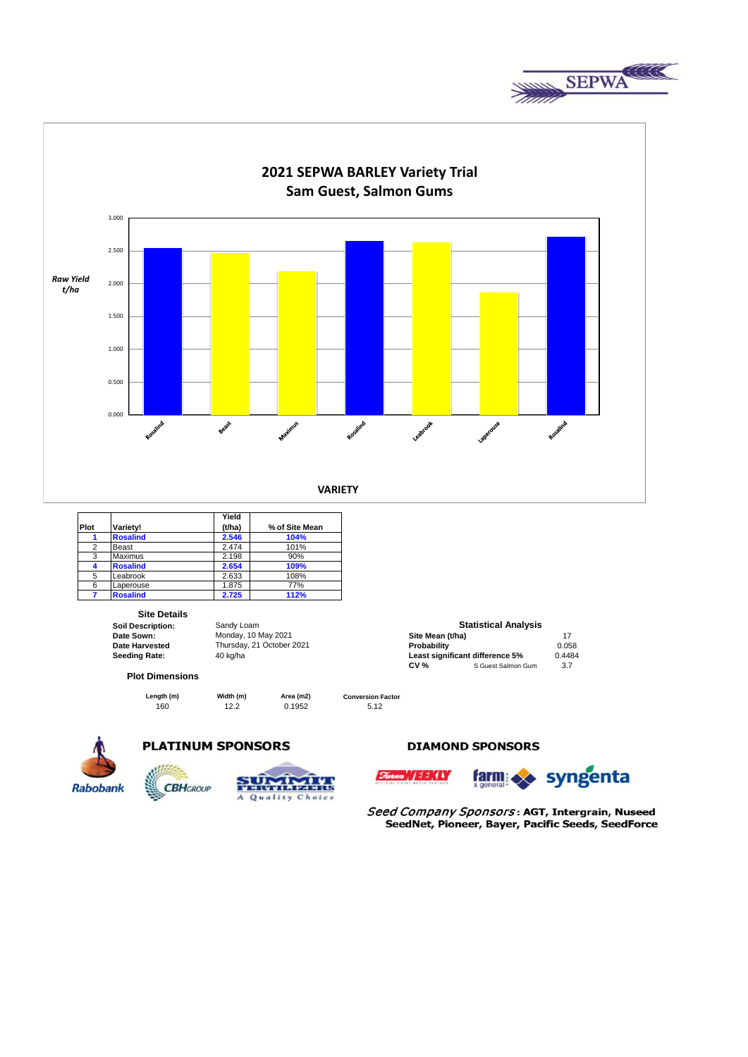



| Plot | Variety!        | Yield<br>(t/ha) | % of Site Mean |
|------|-----------------|-----------------|----------------|
|      | <b>Rosalind</b> | 2.546           | 104%           |
| 2    | Beast           | 2.474           | 101%           |
| 3    | Maximus         | 2.198           | 90%            |
| 4    | <b>Rosalind</b> | 2.654           | 109%           |
| 5    | Leabrook        | 2.633           | 108%           |
| 6    | Laperouse       | 1.875           | 77%            |
|      | <b>Rosalind</b> | 2.725           | 112%           |

#### **Site Details**

#### **Plot Dimensions**

**Length (m) Width (m) Area (m2)** 

160 12.2 0.1952 5.12

| Soil Description: | Sandy Loam                |                  | <b>Statistical Analysis</b>     |        |
|-------------------|---------------------------|------------------|---------------------------------|--------|
| Date Sown:        | Monday, 10 May 2021       | Site Mean (t/ha) |                                 | 17     |
| Date Harvested    | Thursday, 21 October 2021 | Probability      |                                 | 0.058  |
| Seeding Rate:     | 40 kg/ha                  |                  | Least significant difference 5% | 0.4484 |
|                   |                           | <b>CV %</b>      | S Guest Salmon Gum              | 3.7    |

**Conversion Factor**



## **PLATINUM SPONSORS**





### **DIAMOND SPONSORS**





Seed Company Sponsors: AGT, Intergrain, Nuseed SeedNet, Pioneer, Bayer, Pacific Seeds, SeedForce